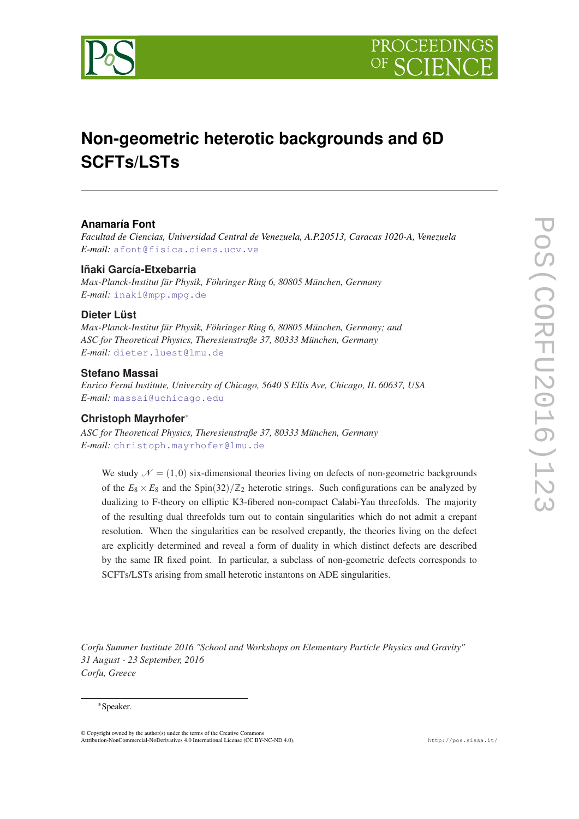



# **Non-geometric heterotic backgrounds and 6D SCFTs/LSTs**

#### **Anamaría Font**

*Facultad de Ciencias, Universidad Central de Venezuela, A.P.20513, Caracas 1020-A, Venezuela E-mail:* [afont@fisica.ciens.ucv.ve](mailto:afont@fisica.ciens.ucv.ve)

#### **Iñaki García-Etxebarria**

*Max-Planck-Institut für Physik, Föhringer Ring 6, 80805 München, Germany E-mail:* [inaki@mpp.mpg.de](mailto:inaki@mpp.mpg.de)

### **Dieter Lüst**

*Max-Planck-Institut für Physik, Föhringer Ring 6, 80805 München, Germany; and ASC for Theoretical Physics, Theresienstraße 37, 80333 München, Germany E-mail:* [dieter.luest@lmu.de](mailto:dieter.luest@lmu.de)

#### **Stefano Massai**

*Enrico Fermi Institute, University of Chicago, 5640 S Ellis Ave, Chicago, IL 60637, USA E-mail:* [massai@uchicago.edu](mailto:massai@uchicago.edu)

#### **Christoph Mayrhofer**\*

*ASC for Theoretical Physics, Theresienstraße 37, 80333 München, Germany E-mail:* [christoph.mayrhofer@lmu.de](mailto:christoph.mayrhofer@lmu.de)

We study  $\mathcal{N} = (1,0)$  six-dimensional theories living on defects of non-geometric backgrounds of the  $E_8 \times E_8$  and the Spin(32)/ $\mathbb{Z}_2$  heterotic strings. Such configurations can be analyzed by dualizing to F-theory on elliptic K3-fibered non-compact Calabi-Yau threefolds. The majority of the resulting dual threefolds turn out to contain singularities which do not admit a crepant resolution. When the singularities can be resolved crepantly, the theories living on the defect are explicitly determined and reveal a form of duality in which distinct defects are described by the same IR fixed point. In particular, a subclass of non-geometric defects corresponds to SCFTs/LSTs arising from small heterotic instantons on ADE singularities.

*Corfu Summer Institute 2016 "School and Workshops on Elementary Particle Physics and Gravity" 31 August - 23 September, 2016 Corfu, Greece*

#### \*Speaker.

© Copyright owned by the author(s) under the terms of the Creative Commons Attribution-NonCommercial-NoDerivatives 4.0 International License (CC BY-NC-ND 4.0). http://pos.sissa.it/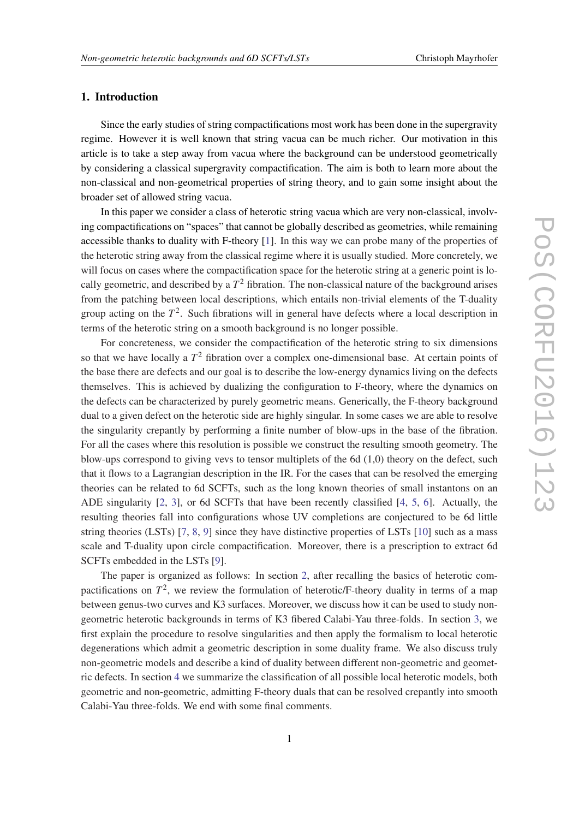#### 1. Introduction

Since the early studies of string compactifications most work has been done in the supergravity regime. However it is well known that string vacua can be much richer. Our motivation in this article is to take a step away from vacua where the background can be understood geometrically by considering a classical supergravity compactification. The aim is both to learn more about the non-classical and non-geometrical properties of string theory, and to gain some insight about the broader set of allowed string vacua.

In this paper we consider a class of heterotic string vacua which are very non-classical, involving compactifications on "spaces" that cannot be globally described as geometries, while remaining accessible thanks to duality with F-theory [[1](#page-14-0)]. In this way we can probe many of the properties of the heterotic string away from the classical regime where it is usually studied. More concretely, we will focus on cases where the compactification space for the heterotic string at a generic point is locally geometric, and described by a  $T^2$  fibration. The non-classical nature of the background arises from the patching between local descriptions, which entails non-trivial elements of the T-duality group acting on the *T* 2 . Such fibrations will in general have defects where a local description in terms of the heterotic string on a smooth background is no longer possible.

For concreteness, we consider the compactification of the heterotic string to six dimensions so that we have locally a  $T<sup>2</sup>$  fibration over a complex one-dimensional base. At certain points of the base there are defects and our goal is to describe the low-energy dynamics living on the defects themselves. This is achieved by dualizing the configuration to F-theory, where the dynamics on the defects can be characterized by purely geometric means. Generically, the F-theory background dual to a given defect on the heterotic side are highly singular. In some cases we are able to resolve the singularity crepantly by performing a finite number of blow-ups in the base of the fibration. For all the cases where this resolution is possible we construct the resulting smooth geometry. The blow-ups correspond to giving vevs to tensor multiplets of the  $6d(1,0)$  theory on the defect, such that it flows to a Lagrangian description in the IR. For the cases that can be resolved the emerging theories can be related to 6d SCFTs, such as the long known theories of small instantons on an ADE singularity [\[2,](#page-14-0) [3\]](#page-14-0), or 6d SCFTs that have been recently classified [\[4,](#page-14-0) [5,](#page-14-0) [6](#page-14-0)]. Actually, the resulting theories fall into configurations whose UV completions are conjectured to be 6d little string theories (LSTs) [[7](#page-14-0), [8](#page-15-0), [9\]](#page-15-0) since they have distinctive properties of LSTs [\[10](#page-15-0)] such as a mass scale and T-duality upon circle compactification. Moreover, there is a prescription to extract 6d SCFTs embedded in the LSTs [\[9\]](#page-15-0).

The paper is organized as follows: In section [2,](#page-2-0) after recalling the basics of heterotic compactifications on  $T^2$ , we review the formulation of heterotic/F-theory duality in terms of a map between genus-two curves and K3 surfaces. Moreover, we discuss how it can be used to study nongeometric heterotic backgrounds in terms of K3 fibered Calabi-Yau three-folds. In section [3,](#page-5-0) we first explain the procedure to resolve singularities and then apply the formalism to local heterotic degenerations which admit a geometric description in some duality frame. We also discuss truly non-geometric models and describe a kind of duality between different non-geometric and geometric defects. In section [4](#page-10-0) we summarize the classification of all possible local heterotic models, both geometric and non-geometric, admitting F-theory duals that can be resolved crepantly into smooth Calabi-Yau three-folds. We end with some final comments.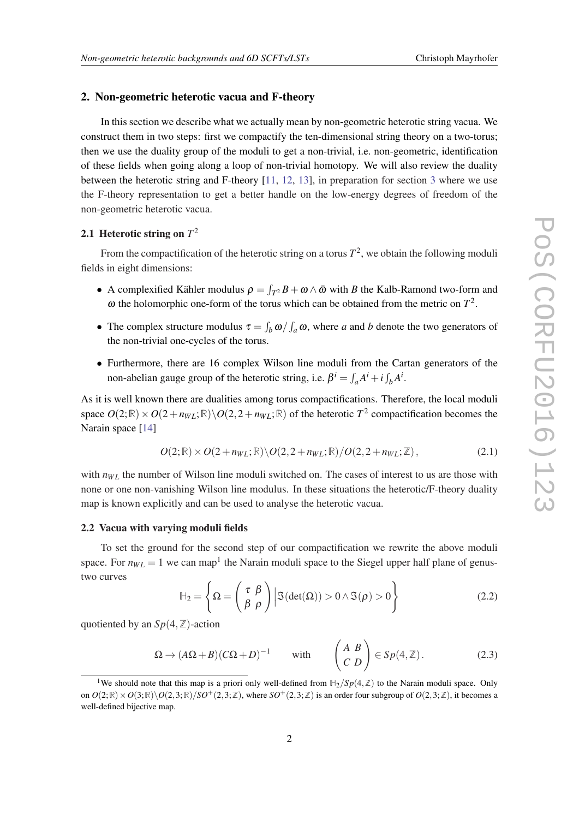#### <span id="page-2-0"></span>2. Non-geometric heterotic vacua and F-theory

In this section we describe what we actually mean by non-geometric heterotic string vacua. We construct them in two steps: first we compactify the ten-dimensional string theory on a two-torus; then we use the duality group of the moduli to get a non-trivial, i.e. non-geometric, identification of these fields when going along a loop of non-trivial homotopy. We will also review the duality between the heterotic string and F-theory [[11,](#page-15-0) [12,](#page-15-0) [13\]](#page-15-0), in preparation for section [3](#page-5-0) where we use the F-theory representation to get a better handle on the low-energy degrees of freedom of the non-geometric heterotic vacua.

### 2.1 Heterotic string on *T* 2

From the compactification of the heterotic string on a torus  $T^2$ , we obtain the following moduli fields in eight dimensions:

- A complexified Kähler modulus  $\rho = \int_{T^2} B + \omega \wedge \bar{\omega}$  with *B* the Kalb-Ramond two-form and  $\omega$  the holomorphic one-form of the torus which can be obtained from the metric on  $T^2$ .
- The complex structure modulus  $\tau = \int_b \omega / \int_a \omega$ , where *a* and *b* denote the two generators of the non-trivial one-cycles of the torus.
- Furthermore, there are 16 complex Wilson line moduli from the Cartan generators of the non-abelian gauge group of the heterotic string, i.e.  $\beta^i = \int_a A^i + i \int_b A^i$ .

As it is well known there are dualities among torus compactifications. Therefore, the local moduli space  $O(2;\mathbb{R}) \times O(2+n_{WL};\mathbb{R}) \backslash O(2,2+n_{WL};\mathbb{R})$  of the heterotic  $T^2$  compactification becomes the Narain space [\[14](#page-15-0)]

$$
O(2;\mathbb{R}) \times O(2+n_{WL};\mathbb{R}) \backslash O(2,2+n_{WL};\mathbb{R})/O(2,2+n_{WL};\mathbb{Z}),
$$
\n(2.1)

with  $n_{WL}$  the number of Wilson line moduli switched on. The cases of interest to us are those with none or one non-vanishing Wilson line modulus. In these situations the heterotic/F-theory duality map is known explicitly and can be used to analyse the heterotic vacua.

#### 2.2 Vacua with varying moduli fields

To set the ground for the second step of our compactification we rewrite the above moduli space. For  $n_{WL} = 1$  we can map<sup>1</sup> the Narain moduli space to the Siegel upper half plane of genustwo curves

$$
\mathbb{H}_2 = \left\{ \Omega = \begin{pmatrix} \tau & \beta \\ \beta & \rho \end{pmatrix} \middle| \mathfrak{I}(\det(\Omega)) > 0 \land \mathfrak{I}(\rho) > 0 \right\}
$$
 (2.2)

quotiented by an  $Sp(4, \mathbb{Z})$ -action

$$
\Omega \to (A\Omega + B)(C\Omega + D)^{-1} \quad \text{with} \quad \begin{pmatrix} A & B \\ C & D \end{pmatrix} \in Sp(4, \mathbb{Z}). \tag{2.3}
$$

<sup>&</sup>lt;sup>1</sup>We should note that this map is a priori only well-defined from  $\mathbb{H}_2/Sp(4,\mathbb{Z})$  to the Narain moduli space. Only on  $O(2;\mathbb{R})\times O(3;\mathbb{R})\backslash O(2,3;\mathbb{R})/SO^+(2,3;\mathbb{Z})$ , where  $SO^+(2,3;\mathbb{Z})$  is an order four subgroup of  $O(2,3;\mathbb{Z})$ , it becomes a well-defined bijective map.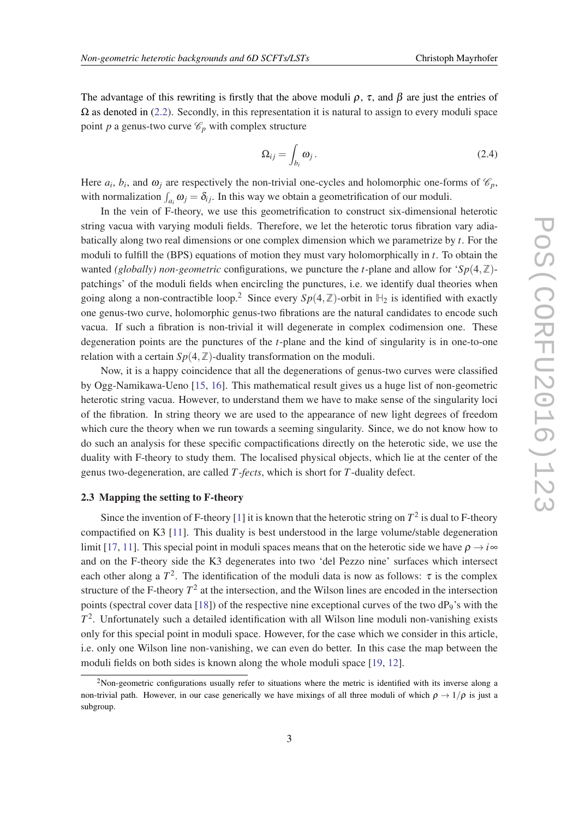The advantage of this rewriting is firstly that the above moduli  $\rho$ ,  $\tau$ , and  $\beta$  are just the entries of  $\Omega$  as denoted in ([2.2](#page-2-0)). Secondly, in this representation it is natural to assign to every moduli space point *p* a genus-two curve  $\mathcal{C}_p$  with complex structure

$$
\Omega_{ij} = \int_{b_i} \omega_j \,. \tag{2.4}
$$

Here  $a_i$ ,  $b_i$ , and  $\omega_j$  are respectively the non-trivial one-cycles and holomorphic one-forms of  $\mathcal{C}_p$ , with normalization  $\int_{a_i} \omega_j = \delta_{ij}$ . In this way we obtain a geometrification of our moduli.

In the vein of F-theory, we use this geometrification to construct six-dimensional heterotic string vacua with varying moduli fields. Therefore, we let the heterotic torus fibration vary adiabatically along two real dimensions or one complex dimension which we parametrize by *t*. For the moduli to fulfill the (BPS) equations of motion they must vary holomorphically in *t*. To obtain the wanted *(globally) non-geometric* configurations, we puncture the *t*-plane and allow for '*Sp*(4, $\mathbb{Z}$ )patchings' of the moduli fields when encircling the punctures, i.e. we identify dual theories when going along a non-contractible loop.<sup>2</sup> Since every  $Sp(4,\mathbb{Z})$ -orbit in  $\mathbb{H}_2$  is identified with exactly one genus-two curve, holomorphic genus-two fibrations are the natural candidates to encode such vacua. If such a fibration is non-trivial it will degenerate in complex codimension one. These degeneration points are the punctures of the *t*-plane and the kind of singularity is in one-to-one relation with a certain  $Sp(4, \mathbb{Z})$ -duality transformation on the moduli.

Now, it is a happy coincidence that all the degenerations of genus-two curves were classified by Ogg-Namikawa-Ueno [\[15](#page-15-0), [16\]](#page-15-0). This mathematical result gives us a huge list of non-geometric heterotic string vacua. However, to understand them we have to make sense of the singularity loci of the fibration. In string theory we are used to the appearance of new light degrees of freedom which cure the theory when we run towards a seeming singularity. Since, we do not know how to do such an analysis for these specific compactifications directly on the heterotic side, we use the duality with F-theory to study them. The localised physical objects, which lie at the center of the genus two-degeneration, are called *T -fects*, which is short for *T*-duality defect.

#### 2.3 Mapping the setting to F-theory

Since the invention of F-theory [\[1\]](#page-14-0) it is known that the heterotic string on  $T^2$  is dual to F-theory compactified on K3 [\[11](#page-15-0)]. This duality is best understood in the large volume/stable degeneration limit [\[17,](#page-15-0) [11\]](#page-15-0). This special point in moduli spaces means that on the heterotic side we have  $\rho \rightarrow i \infty$ and on the F-theory side the K3 degenerates into two 'del Pezzo nine' surfaces which intersect each other along a  $T^2$ . The identification of the moduli data is now as follows:  $\tau$  is the complex structure of the F-theory  $T^2$  at the intersection, and the Wilson lines are encoded in the intersection points (spectral cover data [[18\]](#page-15-0)) of the respective nine exceptional curves of the two dP<sub>9</sub>'s with the *T* 2 . Unfortunately such a detailed identification with all Wilson line moduli non-vanishing exists only for this special point in moduli space. However, for the case which we consider in this article, i.e. only one Wilson line non-vanishing, we can even do better. In this case the map between the moduli fields on both sides is known along the whole moduli space [\[19](#page-15-0), [12\]](#page-15-0).

<sup>&</sup>lt;sup>2</sup>Non-geometric configurations usually refer to situations where the metric is identified with its inverse along a non-trivial path. However, in our case generically we have mixings of all three moduli of which  $\rho \to 1/\rho$  is just a subgroup.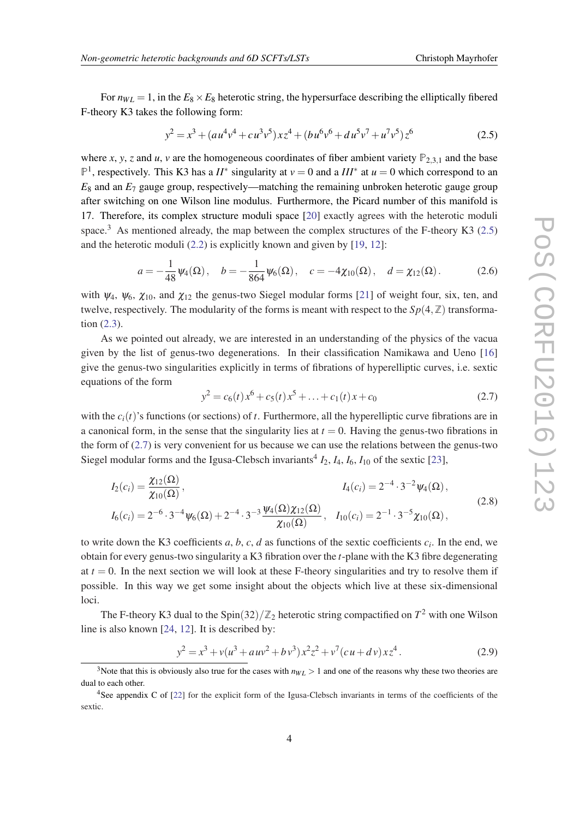<span id="page-4-0"></span>For  $n_{WL} = 1$ , in the  $E_8 \times E_8$  heterotic string, the hypersurface describing the elliptically fibered F-theory K3 takes the following form:

$$
y^{2} = x^{3} + (au^{4}v^{4} + cu^{3}v^{5})xz^{4} + (bu^{6}v^{6} + du^{5}v^{7} + u^{7}v^{5})z^{6}
$$
 (2.5)

where *x*, *y*, *z* and *u*, *v* are the homogeneous coordinates of fiber ambient variety  $P_{2,3,1}$  and the base  $\mathbb{P}^1$ , respectively. This K3 has a *II*<sup>∗</sup> singularity at *v* = 0 and a *III*<sup>∗</sup> at *u* = 0 which correspond to an *E*<sup>8</sup> and an *E*<sup>7</sup> gauge group, respectively—matching the remaining unbroken heterotic gauge group after switching on one Wilson line modulus. Furthermore, the Picard number of this manifold is 17. Therefore, its complex structure moduli space [[20\]](#page-15-0) exactly agrees with the heterotic moduli space.<sup>3</sup> As mentioned already, the map between the complex structures of the F-theory K3 (2.5) and the heterotic moduli [\(2.2\)](#page-2-0) is explicitly known and given by [\[19](#page-15-0), [12\]](#page-15-0):

$$
a = -\frac{1}{48}\psi_4(\Omega), \quad b = -\frac{1}{864}\psi_6(\Omega), \quad c = -4\chi_{10}(\Omega), \quad d = \chi_{12}(\Omega). \tag{2.6}
$$

with  $\psi_4$ ,  $\psi_6$ ,  $\chi_{10}$ , and  $\chi_{12}$  the genus-two Siegel modular forms [[21\]](#page-15-0) of weight four, six, ten, and twelve, respectively. The modularity of the forms is meant with respect to the  $Sp(4,\mathbb{Z})$  transformation ([2.3](#page-2-0)).

As we pointed out already, we are interested in an understanding of the physics of the vacua given by the list of genus-two degenerations. In their classification Namikawa and Ueno [\[16](#page-15-0)] give the genus-two singularities explicitly in terms of fibrations of hyperelliptic curves, i.e. sextic equations of the form

$$
y^{2} = c_{6}(t)x^{6} + c_{5}(t)x^{5} + \ldots + c_{1}(t)x + c_{0}
$$
\n(2.7)

with the  $c_i(t)$ 's functions (or sections) of *t*. Furthermore, all the hyperelliptic curve fibrations are in a canonical form, in the sense that the singularity lies at  $t = 0$ . Having the genus-two fibrations in the form of (2.7) is very convenient for us because we can use the relations between the genus-two Siegel modular forms and the Igusa-Clebsch invariants<sup>4</sup>  $I_2$ ,  $I_4$ ,  $I_6$ ,  $I_{10}$  of the sextic [[23\]](#page-15-0),

$$
I_2(c_i) = \frac{\chi_{12}(\Omega)}{\chi_{10}(\Omega)}, \qquad I_4(c_i) = 2^{-4} \cdot 3^{-2} \psi_4(\Omega),
$$
  
\n
$$
I_6(c_i) = 2^{-6} \cdot 3^{-4} \psi_6(\Omega) + 2^{-4} \cdot 3^{-3} \frac{\psi_4(\Omega) \chi_{12}(\Omega)}{\chi_{10}(\Omega)}, \qquad I_{10}(c_i) = 2^{-1} \cdot 3^{-5} \chi_{10}(\Omega),
$$
\n(2.8)

to write down the K3 coefficients  $a, b, c, d$  as functions of the sextic coefficients  $c_i$ . In the end, we obtain for every genus-two singularity a K3 fibration over the *t*-plane with the K3 fibre degenerating at  $t = 0$ . In the next section we will look at these F-theory singularities and try to resolve them if possible. In this way we get some insight about the objects which live at these six-dimensional loci.

The F-theory K3 dual to the Spin(32)/ $\mathbb{Z}_2$  heterotic string compactified on  $T^2$  with one Wilson line is also known [[24](#page-15-0), [12\]](#page-15-0). It is described by:

$$
y^{2} = x^{3} + v(u^{3} + auv^{2} + bv^{3})x^{2}z^{2} + v^{7}(cu + dv)xz^{4}. \qquad (2.9)
$$

<sup>&</sup>lt;sup>3</sup>Note that this is obviously also true for the cases with  $n_{WL} > 1$  and one of the reasons why these two theories are dual to each other.

<sup>&</sup>lt;sup>4</sup>See appendix C of [\[22](#page-15-0)] for the explicit form of the Igusa-Clebsch invariants in terms of the coefficients of the sextic.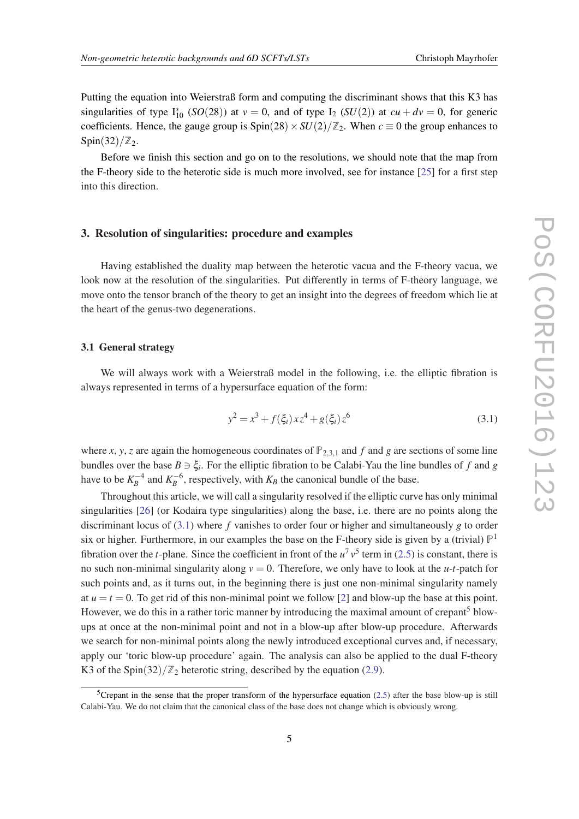<span id="page-5-0"></span>Putting the equation into Weierstraß form and computing the discriminant shows that this K3 has singularities of type  $I_{10}^*$  (*SO*(28)) at  $v = 0$ , and of type I<sub>2</sub> (*SU*(2)) at  $cu + dv = 0$ , for generic coefficients. Hence, the gauge group is  $Spin(28) \times SU(2)/\mathbb{Z}_2$ . When  $c \equiv 0$  the group enhances to  $Spin(32)/\mathbb{Z}_2$ .

Before we finish this section and go on to the resolutions, we should note that the map from the F-theory side to the heterotic side is much more involved, see for instance [[25\]](#page-15-0) for a first step into this direction.

#### 3. Resolution of singularities: procedure and examples

Having established the duality map between the heterotic vacua and the F-theory vacua, we look now at the resolution of the singularities. Put differently in terms of F-theory language, we move onto the tensor branch of the theory to get an insight into the degrees of freedom which lie at the heart of the genus-two degenerations.

#### 3.1 General strategy

We will always work with a Weierstraß model in the following, i.e. the elliptic fibration is always represented in terms of a hypersurface equation of the form:

$$
y^2 = x^3 + f(\xi_i) x z^4 + g(\xi_i) z^6
$$
\n(3.1)

where *x*, *y*, *z* are again the homogeneous coordinates of  $P_{2,3,1}$  and *f* and *g* are sections of some line bundles over the base  $B \ni \xi_i$ . For the elliptic fibration to be Calabi-Yau the line bundles of f and g have to be  $K_B^{-4}$  and  $K_B^{-6}$ , respectively, with  $K_B$  the canonical bundle of the base.

Throughout this article, we will call a singularity resolved if the elliptic curve has only minimal singularities [[26\]](#page-15-0) (or Kodaira type singularities) along the base, i.e. there are no points along the discriminant locus of (3.1) where *f* vanishes to order four or higher and simultaneously *g* to order six or higher. Furthermore, in our examples the base on the F-theory side is given by a (trivial)  $\mathbb{P}^1$ fibration over the *t*-plane. Since the coefficient in front of the  $u^7v^5$  term in [\(2.5](#page-4-0)) is constant, there is no such non-minimal singularity along  $v = 0$ . Therefore, we only have to look at the *u-t*-patch for such points and, as it turns out, in the beginning there is just one non-minimal singularity namely at  $u = t = 0$ . To get rid of this non-minimal point we follow [\[2\]](#page-14-0) and blow-up the base at this point. However, we do this in a rather toric manner by introducing the maximal amount of crepant<sup>5</sup> blowups at once at the non-minimal point and not in a blow-up after blow-up procedure. Afterwards we search for non-minimal points along the newly introduced exceptional curves and, if necessary, apply our 'toric blow-up procedure' again. The analysis can also be applied to the dual F-theory K3 of the Spin(32)/ $\mathbb{Z}_2$  heterotic string, described by the equation ([2.9\)](#page-4-0).

<sup>&</sup>lt;sup>5</sup>Crepant in the sense that the proper transform of the hypersurface equation [\(2.5](#page-4-0)) after the base blow-up is still Calabi-Yau. We do not claim that the canonical class of the base does not change which is obviously wrong.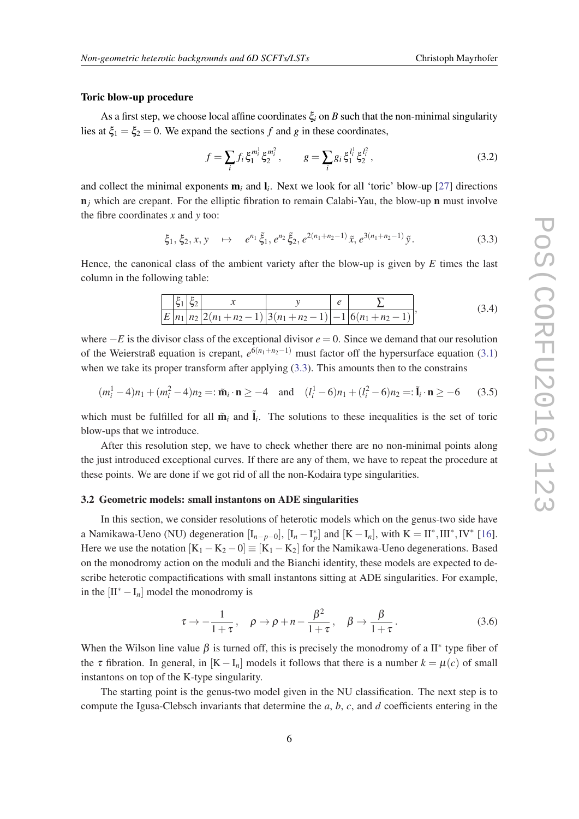#### Toric blow-up procedure

As a first step, we choose local affine coordinates  $\xi$ <sup>*i*</sup> on *B* such that the non-minimal singularity lies at  $\xi_1 = \xi_2 = 0$ . We expand the sections f and g in these coordinates,

$$
f = \sum_{i} f_i \xi_1^{m_i^1} \xi_2^{m_i^2}, \qquad g = \sum_{i} g_i \xi_1^{l_i^1} \xi_2^{l_i^2}, \qquad (3.2)
$$

and collect the minimal exponents m*<sup>i</sup>* and l*<sup>i</sup>* . Next we look for all 'toric' blow-up [\[27](#page-15-0)] directions  $n_j$  which are crepant. For the elliptic fibration to remain Calabi-Yau, the blow-up n must involve the fibre coordinates *x* and *y* too:

$$
\xi_1, \xi_2, x, y \quad \mapsto \quad e^{n_1} \tilde{\xi}_1, e^{n_2} \tilde{\xi}_2, e^{2(n_1 + n_2 - 1)} \tilde{x}, e^{3(n_1 + n_2 - 1)} \tilde{y}.
$$

Hence, the canonical class of the ambient variety after the blow-up is given by *E* times the last column in the following table:

$$
\frac{\left|\xi_1\right|\xi_2}{E\left|n_1\right|n_2\left|2(n_1+n_2-1)\right|3(n_1+n_2-1)}\frac{\nu}{2(n_1+n_2-1)}\left|\frac{e}{6(n_1+n_2-1)}\right|,\tag{3.4}
$$

where  $-E$  is the divisor class of the exceptional divisor  $e = 0$ . Since we demand that our resolution of the Weierstraß equation is crepant, *e* <sup>6</sup>(*n*1+*n*2−1) must factor off the hypersurface equation ([3.1](#page-5-0)) when we take its proper transform after applying  $(3.3)$ . This amounts then to the constrains

$$
(m_i^1 - 4)n_1 + (m_i^2 - 4)n_2 =: \tilde{\mathbf{m}}_i \cdot \mathbf{n} \ge -4 \quad \text{and} \quad (l_i^1 - 6)n_1 + (l_i^2 - 6)n_2 =: \tilde{\mathbf{l}}_i \cdot \mathbf{n} \ge -6 \tag{3.5}
$$

which must be fulfilled for all  $\tilde{\mathbf{m}}_i$  and  $\tilde{\mathbf{l}}_i$ . The solutions to these inequalities is the set of toric blow-ups that we introduce.

After this resolution step, we have to check whether there are no non-minimal points along the just introduced exceptional curves. If there are any of them, we have to repeat the procedure at these points. We are done if we got rid of all the non-Kodaira type singularities.

#### 3.2 Geometric models: small instantons on ADE singularities

In this section, we consider resolutions of heterotic models which on the genus-two side have a Namikawa-Ueno (NU) degeneration  $[I_{n-p-0}]$ ,  $[I_n - I_p^*]$  and  $[K - I_n]$ , with  $K = II^*, III^*, IV^*$  [[16\]](#page-15-0). Here we use the notation  $[K_1 - K_2 - 0] \equiv [K_1 - K_2]$  for the Namikawa-Ueno degenerations. Based on the monodromy action on the moduli and the Bianchi identity, these models are expected to describe heterotic compactifications with small instantons sitting at ADE singularities. For example, in the  $[II^* - I_n]$  model the monodromy is

$$
\tau \to -\frac{1}{1+\tau}, \quad \rho \to \rho + n - \frac{\beta^2}{1+\tau}, \quad \beta \to \frac{\beta}{1+\tau}.
$$
 (3.6)

When the Wilson line value  $\beta$  is turned off, this is precisely the monodromy of a II<sup>\*</sup> type fiber of the  $\tau$  fibration. In general, in  $[K - I_n]$  models it follows that there is a number  $k = \mu(c)$  of small instantons on top of the K-type singularity.

The starting point is the genus-two model given in the NU classification. The next step is to compute the Igusa-Clebsch invariants that determine the *a*, *b*, *c*, and *d* coefficients entering in the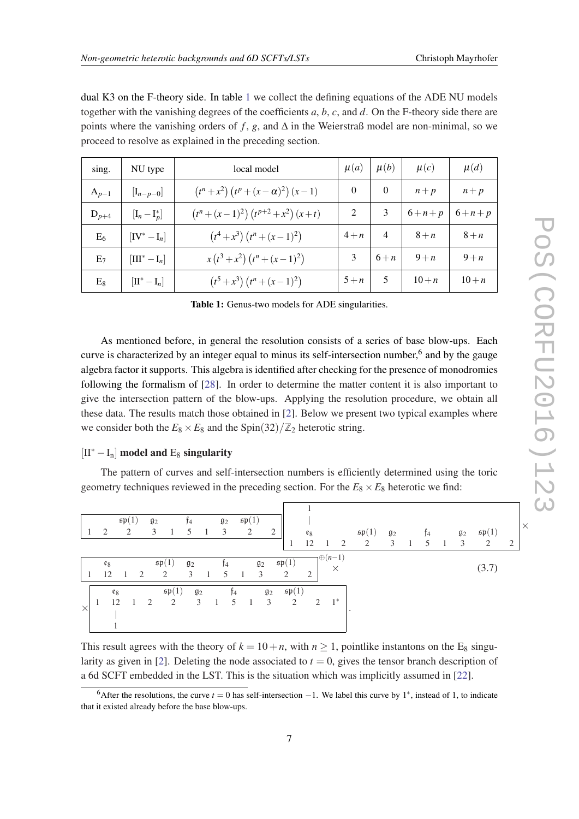×

| dual K3 on the F-theory side. In table 1 we collect the defining equations of the ADE NU models              |
|--------------------------------------------------------------------------------------------------------------|
| together with the vanishing degrees of the coefficients $a, b, c$ , and $d$ . On the F-theory side there are |
| points where the vanishing orders of f, g, and $\Delta$ in the Weierstraß model are non-minimal, so we       |
| proceed to resolve as explained in the preceding section.                                                    |

| sing.     | NU type                       | local model                                   | $\mu(a)$       | $\mu(b)$       | $\mu(c)$    | $\mu(d)$    |
|-----------|-------------------------------|-----------------------------------------------|----------------|----------------|-------------|-------------|
| $A_{p-1}$ | $[I_{n-p-0}]$                 | $(t^{n}+x^{2}) (t^{p}+(x-\alpha)^{2}) (x-1)$  | $\theta$       | $\Omega$       | $n+p$       | $n+p$       |
| $D_{p+4}$ | $[I_n - I_p^*]$               | $(t^{n} + (x-1)^{2}) (t^{p+2} + x^{2}) (x+t)$ | $\mathfrak{D}$ | 3              | $6 + n + p$ | $6 + n + p$ |
| $E_6$     | $[IV^* - I_n]$                | $(t^4+x^3)(t^n+(x-1)^2)$                      | $4+n$          | $\overline{4}$ | $8+n$       | $8+n$       |
| $E_7$     | $[\text{III}^* - \text{I}_n]$ | $x(t^3+x^2)(t^n+(x-1)^2)$                     | 3              | $6+n$          | $9+n$       | $9+n$       |
| $E_8$     | $[\Pi^* - I_n]$               | $(t^5 + x^3)(t^n + (x-1)^2)$                  | $5+n$          | 5              | $10 + n$    | $10 + n$    |

Table 1: Genus-two models for ADE singularities.

As mentioned before, in general the resolution consists of a series of base blow-ups. Each curve is characterized by an integer equal to minus its self-intersection number,<sup>6</sup> and by the gauge algebra factor it supports. This algebra is identified after checking for the presence of monodromies following the formalism of [[28](#page-15-0)]. In order to determine the matter content it is also important to give the intersection pattern of the blow-ups. Applying the resolution procedure, we obtain all these data. The results match those obtained in [\[2\]](#page-14-0). Below we present two typical examples where we consider both the  $E_8 \times E_8$  and the Spin(32)/ $\mathbb{Z}_2$  heterotic string.

#### $[II^* - I_n]$  model and E<sub>8</sub> singularity

The pattern of curves and self-intersection numbers is efficiently determined using the toric geometry techniques reviewed in the preceding section. For the  $E_8 \times E_8$  heterotic we find:

|          |       | $\mathfrak{sp}(1)$ |   | $g_2$ |                    | Ť4               |                | $\mathfrak{g}_2$ |    | $\mathfrak{sp}(1)$ |                  |                    |       |                   |          |                    |                  |                |    |    |                  |                    |                |
|----------|-------|--------------------|---|-------|--------------------|------------------|----------------|------------------|----|--------------------|------------------|--------------------|-------|-------------------|----------|--------------------|------------------|----------------|----|----|------------------|--------------------|----------------|
|          | 2     |                    | 2 | 3     |                    | 5                | $\overline{1}$ | 3                |    | 2                  | $\overline{2}$   |                    | $e_8$ |                   |          | $\mathfrak{sp}(1)$ | $\mathfrak{g}_2$ |                | Ť4 |    | $\mathfrak{g}_2$ | $\mathfrak{sp}(1)$ |                |
|          |       |                    |   |       |                    |                  |                |                  |    |                    |                  | 1                  | 12    | -1                | 2        | 2                  | 3                | $\overline{1}$ | 5  | -1 | 3                | 2                  | $\overline{2}$ |
|          | $e_8$ |                    |   |       | $\mathfrak{sp}(1)$ | $\mathfrak{g}_2$ |                | Ť4               |    | $\mathfrak{g}_2$   |                  | $\mathfrak{sp}(1)$ |       | $\bigoplus (n-1)$ | $\times$ |                    |                  |                |    |    |                  | (3.7)              |                |
|          | 12    |                    | 2 |       | 2                  | 3                |                | 5                |    | 3                  |                  | 2                  | 2     |                   |          |                    |                  |                |    |    |                  |                    |                |
|          |       | $e_8$              |   |       | $\mathfrak{sp}(1)$ | $\mathfrak{g}_2$ |                |                  | Ţ4 |                    | $\mathfrak{g}_2$ | $\mathfrak{sp}(1)$ |       |                   |          |                    |                  |                |    |    |                  |                    |                |
| $\times$ |       | 12                 |   | 2     | 2                  | 3                |                |                  | 5  | $\overline{1}$     | 3                | 2                  | 2     |                   | $1^*$    |                    |                  |                |    |    |                  |                    |                |
|          |       |                    |   |       |                    |                  |                |                  |    |                    |                  |                    |       |                   |          |                    |                  |                |    |    |                  |                    |                |
|          |       |                    |   |       |                    |                  |                |                  |    |                    |                  |                    |       |                   |          |                    |                  |                |    |    |                  |                    |                |

This result agrees with the theory of  $k = 10 + n$ , with  $n \ge 1$ , pointlike instantons on the E<sub>8</sub> singu-larity as given in [\[2\]](#page-14-0). Deleting the node associated to  $t = 0$ , gives the tensor branch description of a 6d SCFT embedded in the LST. This is the situation which was implicitly assumed in [\[22\]](#page-15-0).

<sup>&</sup>lt;sup>6</sup>After the resolutions, the curve  $t = 0$  has self-intersection  $-1$ . We label this curve by 1<sup>\*</sup>, instead of 1, to indicate that it existed already before the base blow-ups.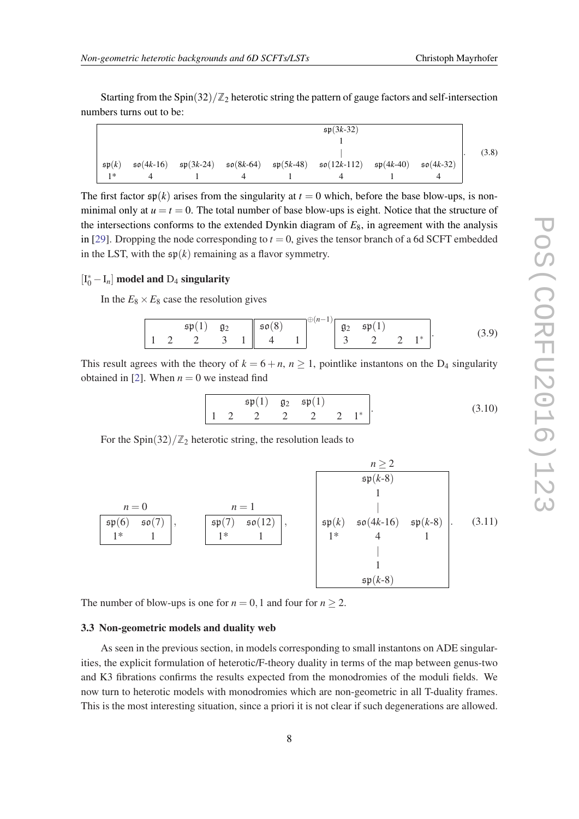<span id="page-8-0"></span>Starting from the Spin $(32)/\mathbb{Z}_2$  heterotic string the pattern of gauge factors and self-intersection numbers turns out to be:

|                    |             |             |             |             | $sp(3k-32)$   |             |             |       |
|--------------------|-------------|-------------|-------------|-------------|---------------|-------------|-------------|-------|
|                    |             |             |             |             |               |             |             |       |
|                    |             |             |             |             |               |             |             | (3.8) |
| $\mathfrak{sp}(k)$ | $50(4k-16)$ | $sp(3k-24)$ | $50(8k-64)$ | $sp(5k-48)$ | $50(12k-112)$ | $sp(4k-40)$ | $50(4k-32)$ |       |
| $1*$               |             |             |             |             |               |             |             |       |

The first factor  $\mathfrak{sp}(k)$  arises from the singularity at  $t = 0$  which, before the base blow-ups, is nonminimal only at  $u = t = 0$ . The total number of base blow-ups is eight. Notice that the structure of the intersections conforms to the extended Dynkin diagram of  $E_8$ , in agreement with the analysis in [[29\]](#page-16-0). Dropping the node corresponding to  $t = 0$ , gives the tensor branch of a 6d SCFT embedded in the LST, with the  $\mathfrak{sp}(k)$  remaining as a flavor symmetry.

## $[I_0^* - I_n]$  model and  $D_4$  singularity

In the  $E_8 \times E_8$  case the resolution gives

$$
\begin{array}{|c|c|c|c|c|c|c|c|c|}\n\hline\n & \mathfrak{sp}(1) & \mathfrak{g}_2 & \mathfrak{so}(8) \\
1 & 2 & 2 & 3 & 1 & 4 & 1\n\end{array} \n\begin{array}{|c|c|c|c|c|c|c|c|}\n\hline\n & \mathfrak{so}(8) & & \mathfrak{g}_2 & \mathfrak{sp}(1) \\
 & 3 & 2 & 2 & 1^* \\
\hline\n\end{array}.
$$
\n(3.9)

This result agrees with the theory of  $k = 6 + n$ ,  $n \ge 1$ , pointlike instantons on the D<sub>4</sub> singularity obtained in [\[2\]](#page-14-0). When  $n = 0$  we instead find

$$
\begin{array}{cccc}\n\mathfrak{sp}(1) & \mathfrak{g}_2 & \mathfrak{sp}(1) \\
1 & 2 & 2 & 2 & 2 & 2 & 1^*\n\end{array}.
$$
\n(3.10)

For the Spin $(32)/\mathbb{Z}_2$  heterotic string, the resolution leads to



The number of blow-ups is one for  $n = 0, 1$  and four for  $n \ge 2$ .

#### 3.3 Non-geometric models and duality web

As seen in the previous section, in models corresponding to small instantons on ADE singularities, the explicit formulation of heterotic/F-theory duality in terms of the map between genus-two and K3 fibrations confirms the results expected from the monodromies of the moduli fields. We now turn to heterotic models with monodromies which are non-geometric in all T-duality frames. This is the most interesting situation, since a priori it is not clear if such degenerations are allowed.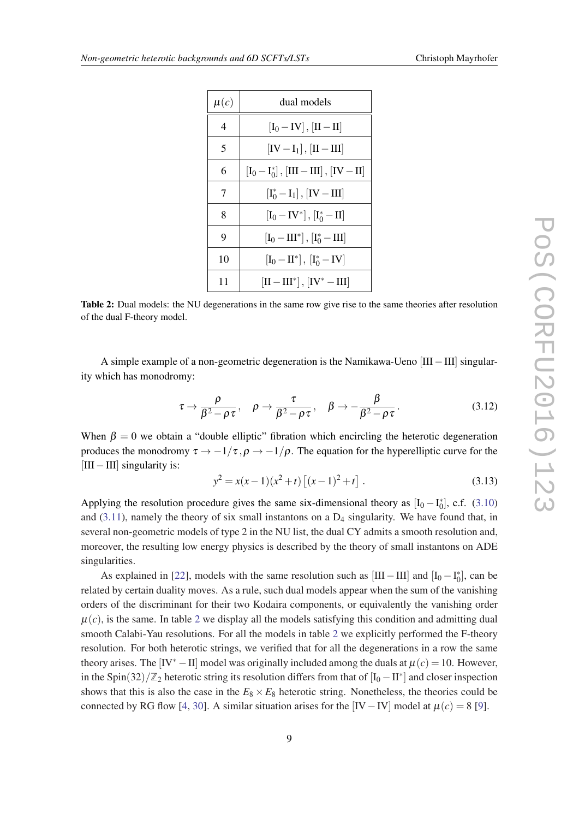| $\mu(c)$       | dual models                                                             |
|----------------|-------------------------------------------------------------------------|
| $\overline{4}$ | $[I_0 - IV]$ , $[II - II]$                                              |
| 5              | $[IV-I1], [II-III]$                                                     |
| 6              | $[I_0 - I_0^*]$ , [III - III], [IV - II]                                |
| 7              | $[I_0^* - I_1], [IV - III]$                                             |
| 8              | $\left[{\rm I}_0-{\rm IV}^*\right],\left[{\rm I}_0^*-{\rm II}\right]$   |
| 9              | $[I_0 - III^*], [I_0^* - III]$                                          |
| 10             | $\left[{\rm I}_0-{\rm II}^*\right],\,\left[{\rm I}_0^*-{\rm IV}\right]$ |
| 11             | $[\mathrm{II}-\mathrm{III}^*]$ , $[\mathrm{IV}^*-\mathrm{III}]$         |

Table 2: Dual models: the NU degenerations in the same row give rise to the same theories after resolution of the dual F-theory model.

A simple example of a non-geometric degeneration is the Namikawa-Ueno [III−III] singularity which has monodromy:

$$
\tau \to \frac{\rho}{\beta^2 - \rho \tau}, \quad \rho \to \frac{\tau}{\beta^2 - \rho \tau}, \quad \beta \to -\frac{\beta}{\beta^2 - \rho \tau}.
$$
 (3.12)

When  $\beta = 0$  we obtain a "double elliptic" fibration which encircling the heterotic degeneration produces the monodromy  $\tau \to -1/\tau$ ,  $\rho \to -1/\rho$ . The equation for the hyperelliptic curve for the [III−III] singularity is:

$$
y^{2} = x(x-1)(x^{2}+t)\left[(x-1)^{2}+t\right].
$$
\n(3.13)

Applying the resolution procedure gives the same six-dimensional theory as  $[I_0 - I_0^*]$ , c.f. [\(3.10](#page-8-0)) and  $(3.11)$  $(3.11)$  $(3.11)$ , namely the theory of six small instantons on a  $D_4$  singularity. We have found that, in several non-geometric models of type 2 in the NU list, the dual CY admits a smooth resolution and, moreover, the resulting low energy physics is described by the theory of small instantons on ADE singularities.

As explained in [[22\]](#page-15-0), models with the same resolution such as  $[III - III]$  and  $[I_0 - I_0^*]$ , can be related by certain duality moves. As a rule, such dual models appear when the sum of the vanishing orders of the discriminant for their two Kodaira components, or equivalently the vanishing order  $\mu(c)$ , is the same. In table 2 we display all the models satisfying this condition and admitting dual smooth Calabi-Yau resolutions. For all the models in table 2 we explicitly performed the F-theory resolution. For both heterotic strings, we verified that for all the degenerations in a row the same theory arises. The  $[V^* - II]$  model was originally included among the duals at  $\mu(c) = 10$ . However, in the Spin(32)/ $\mathbb{Z}_2$  heterotic string its resolution differs from that of  $[I_0 - II^*]$  and closer inspection shows that this is also the case in the  $E_8 \times E_8$  heterotic string. Nonetheless, the theories could be connected by RG flow [\[4,](#page-14-0) [30](#page-16-0)]. A similar situation arises for the [IV – IV] model at  $\mu(c) = 8$  [[9](#page-15-0)].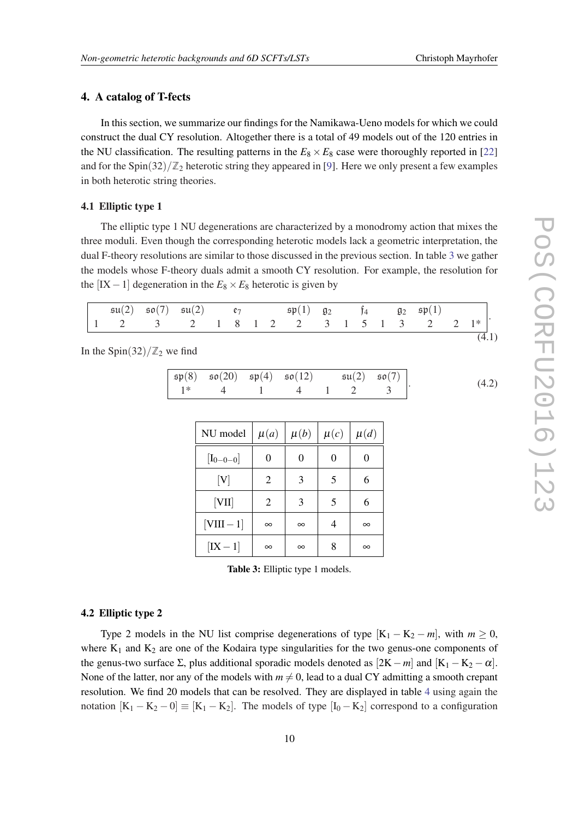#### <span id="page-10-0"></span>4. A catalog of T-fects

In this section, we summarize our findings for the Namikawa-Ueno models for which we could construct the dual CY resolution. Altogether there is a total of 49 models out of the 120 entries in the NU classification. The resulting patterns in the  $E_8 \times E_8$  case were thoroughly reported in [\[22](#page-15-0)] and for the Spin $(32)/\mathbb{Z}_2$  heterotic string they appeared in [[9](#page-15-0)]. Here we only present a few examples in both heterotic string theories.

#### 4.1 Elliptic type 1

The elliptic type 1 NU degenerations are characterized by a monodromy action that mixes the three moduli. Even though the corresponding heterotic models lack a geometric interpretation, the dual F-theory resolutions are similar to those discussed in the previous section. In table 3 we gather the models whose F-theory duals admit a smooth CY resolution. For example, the resolution for the  $[IX-1]$  degeneration in the  $E_8 \times E_8$  heterotic is given by

| $\sqrt{\mathfrak{su}(2) - \mathfrak{so}(7)}$ $\mathfrak{su}(2)$ $\mathfrak{e}_7$ $\mathfrak{sp}(1) - \mathfrak{g}_2$ $\mathfrak{f}_4$ $\mathfrak{g}_2 - \mathfrak{sp}(1)$ |  |  |  |  |  |  |  |  |
|---------------------------------------------------------------------------------------------------------------------------------------------------------------------------|--|--|--|--|--|--|--|--|
|                                                                                                                                                                           |  |  |  |  |  |  |  |  |
|                                                                                                                                                                           |  |  |  |  |  |  |  |  |

In the Spin(32)/ $\mathbb{Z}_2$  we find

| $\mathfrak{sp}(8)$ $\mathfrak{so}(20)$ $\mathfrak{sp}(4)$ $\mathfrak{so}(12)$ $\mathfrak{su}(2)$ $\mathfrak{so}(7)$ |  |  | (4.2) |
|---------------------------------------------------------------------------------------------------------------------|--|--|-------|
| $1^*$ 4 1 4 1 2 3 $\vert$                                                                                           |  |  |       |

| NU model      | $\mu(a)$ | $\mu(b) \mid \mu(c)$ |   | $\mu(d)$ |
|---------------|----------|----------------------|---|----------|
| $[I_{0-0-0}]$ | 0        | 0                    | 0 | 0        |
| [V]           | 2        | 3                    | 5 | 6        |
| [VII]         | 2        | 3                    | 5 | 6        |
| $[VIII-1]$    | $\infty$ | $\infty$             |   | $\infty$ |
| $[IX-1]$      | $\infty$ | $\infty$             |   | $\infty$ |

Table 3: Elliptic type 1 models.

#### 4.2 Elliptic type 2

Type 2 models in the NU list comprise degenerations of type  $[K_1 - K_2 - m]$ , with  $m \ge 0$ , where  $K_1$  and  $K_2$  are one of the Kodaira type singularities for the two genus-one components of the genus-two surface  $\Sigma$ , plus additional sporadic models denoted as  $[2K - m]$  and  $[K_1 - K_2 - \alpha]$ . None of the latter, nor any of the models with  $m \neq 0$ , lead to a dual CY admitting a smooth crepant resolution. We find 20 models that can be resolved. They are displayed in table [4](#page-11-0) using again the notation  $[K_1 - K_2 - 0] \equiv [K_1 - K_2]$ . The models of type  $[I_0 - K_2]$  correspond to a configuration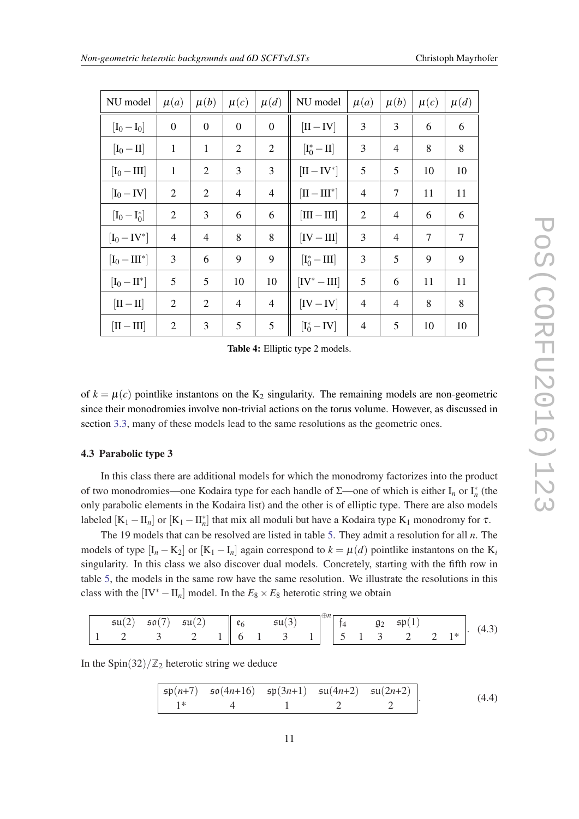<span id="page-11-0"></span>

| NU model                 | $\mu(a)$       | $\mu(b)$         | $\mu(c)$       | $\mu(d)$         | NU model                                     | $\mu(a)$       | $\mu(b)$       | $\mu(c)$ | $\mu(d)$ |
|--------------------------|----------------|------------------|----------------|------------------|----------------------------------------------|----------------|----------------|----------|----------|
| $[I_0 - I_0]$            | $\overline{0}$ | $\boldsymbol{0}$ | $\overline{0}$ | $\boldsymbol{0}$ | $[II - IV]$                                  | 3              | 3              | 6        | 6        |
| $[I_0 - II]$             | $\mathbf{1}$   | $\mathbf{1}$     | $\overline{2}$ | $\overline{2}$   | $\left[\mathrm{I}_0^\ast-\mathrm{II}\right]$ | 3              | 4              | 8        | 8        |
| $[I_0 - III]$            | $\mathbf{1}$   | 2                | 3              | 3                | $[II - IV^*]$                                | 5              | 5              | 10       | 10       |
| $[I_0 - IV]$             | $\overline{2}$ | 2                | $\overline{4}$ | 4                | $[\text{II} - \text{III}]$                   | 4              | 7              | 11       | 11       |
| $[I_0 - I_0^*]$          | $\overline{2}$ | 3                | 6              | 6                | $[III - III]$                                | $\overline{2}$ | $\overline{4}$ | 6        | 6        |
| $[I_0 - IV^*]$           | 4              | $\overline{4}$   | 8              | 8                | $[IV - III]$                                 | 3              | 4              | $\tau$   | 7        |
| $[I_0 - III^*]$          | 3              | 6                | 9              | 9                | $[I_0^*-III]$                                | 3              | 5              | 9        | 9        |
| $[I_0 - II^*]$           | 5              | 5                | 10             | 10               | $[IV^* - III]$                               | 5              | 6              | 11       | 11       |
| $[\text{II}-\text{II}]$  | 2              | 2                | 4              | 4                | $[IV - IV]$                                  | 4              | 4              | 8        | 8        |
| $[\text{II}-\text{III}]$ | $\overline{2}$ | 3                | 5              | 5                | $[I_0^*-IV]$                                 | 4              | 5              | 10       | 10       |

Table 4: Elliptic type 2 models.

of  $k = \mu(c)$  pointlike instantons on the K<sub>2</sub> singularity. The remaining models are non-geometric since their monodromies involve non-trivial actions on the torus volume. However, as discussed in section [3.3,](#page-8-0) many of these models lead to the same resolutions as the geometric ones.

#### 4.3 Parabolic type 3

In this class there are additional models for which the monodromy factorizes into the product of two monodromies—one Kodaira type for each handle of  $\Sigma$ —one of which is either  $I_n$  or  $I_n^*$  (the only parabolic elements in the Kodaira list) and the other is of elliptic type. There are also models labeled  $[K_1 - II_n]$  or  $[K_1 - II_n^*]$  that mix all moduli but have a Kodaira type  $K_1$  monodromy for  $\tau$ .

The 19 models that can be resolved are listed in table [5](#page-12-0). They admit a resolution for all *n*. The models of type  $[I_n - K_2]$  or  $[K_1 - I_n]$  again correspond to  $k = \mu(d)$  pointlike instantons on the  $K_i$ singularity. In this class we also discover dual models. Concretely, starting with the fifth row in table [5](#page-12-0), the models in the same row have the same resolution. We illustrate the resolutions in this class with the  $[IV^* - II_n]$  model. In the  $E_8 \times E_8$  heterotic string we obtain

| $\mathfrak{su}(2)$ $\mathfrak{so}(7)$ $\mathfrak{su}(2)$ $\ \mathfrak{e}_6$ $\mathfrak{su}(3)$ $\ \mathfrak{e}_1\ _1^2$ $\mathfrak{g}_2$ $\mathfrak{sp}(1)$ |  |  |  |  |  |  |  |  |
|-------------------------------------------------------------------------------------------------------------------------------------------------------------|--|--|--|--|--|--|--|--|
| 1 2 3 2 1 6 1 3 1 5 1 3 2 2 1 4 4.3                                                                                                                         |  |  |  |  |  |  |  |  |

In the Spin $(32)/\mathbb{Z}_2$  heterotic string we deduce

$$
\begin{array}{|c|ccccc|}\n\hline\n\text{sp}(n+7) & \text{so}(4n+16) & \text{sp}(3n+1) & \text{su}(4n+2) & \text{su}(2n+2) \\
\hline\n1^* & 4 & 1 & 2 & 2\n\end{array}.
$$
\n(4.4)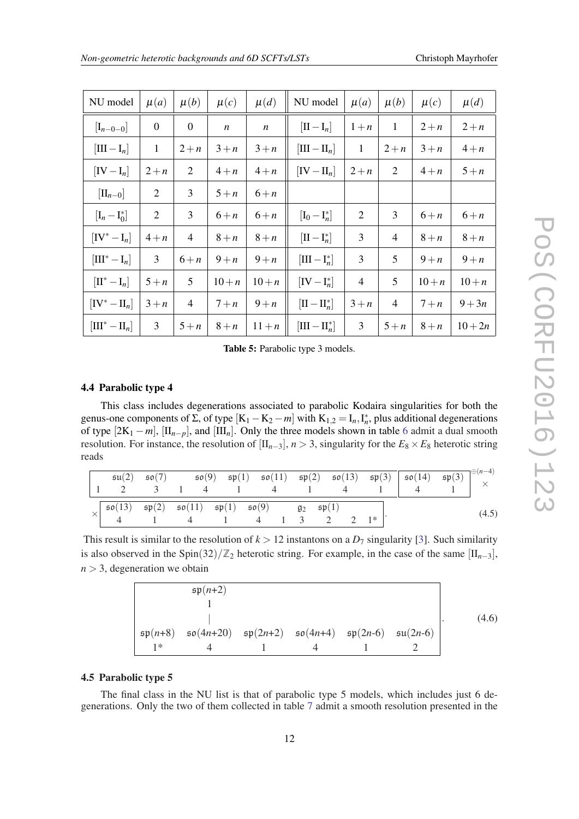<span id="page-12-0"></span>

| NU model                                    | $\mu(a)$         | $\mu(b)$         | $\mu(c)$         | $\mu(d)$         | NU model                        | $\mu(a)$       | $\mu(b)$     | $\mu(c)$ | $\mu(d)$  |
|---------------------------------------------|------------------|------------------|------------------|------------------|---------------------------------|----------------|--------------|----------|-----------|
| $[I_{n-0-0}]$                               | $\boldsymbol{0}$ | $\boldsymbol{0}$ | $\boldsymbol{n}$ | $\boldsymbol{n}$ | $[\Pi - I_n]$                   | $1+n$          | $\mathbf{1}$ | $2+n$    | $2+n$     |
| $[III - I_n]$                               | $\mathbf{1}$     | $2+n$            | $3+n$            | $3+n$            | $[\text{III} - \text{II}_n]$    | $\mathbf{1}$   | $2+n$        | $3+n$    | $4+n$     |
| $[IV-I_n]$                                  | $2+n$            | $\overline{2}$   | $4+n$            | $4+n$            | $[IV - II_n]$                   | $2+n$          | 2            | $4+n$    | $5+n$     |
| $[\mathrm{II}_{n-0}]$                       | $\overline{2}$   | 3                | $5+n$            | $6+n$            |                                 |                |              |          |           |
| $[I_n - I_0^*]$                             | $\overline{2}$   | 3                | $6+n$            | $6+n$            | $[I_0 - I_n^*]$                 | $\overline{2}$ | 3            | $6+n$    | $6+n$     |
| $[IV^* - I_n]$                              | $4+n$            | $\overline{4}$   | $8+n$            | $8+n$            | $[\Pi - I_n^*]$                 | 3              | 4            | $8+n$    | $8+n$     |
| $\left[\text{III}^*-\text{I}_n\right]$      | 3                | $6+n$            | $9+n$            | $9+n$            | $[III - I_n^*]$                 | 3              | 5            | $9+n$    | $9+n$     |
| $\left[\mathrm{II}^* - \mathrm{I}_n\right]$ | $5+n$            | 5                | $10 + n$         | $10 + n$         | $[IV - I_n^*]$                  | $\overline{4}$ | 5            | $10 + n$ | $10 + n$  |
| $[IV^* - II_n]$                             | $3+n$            | $\overline{4}$   | $7+n$            | $9+n$            | $[\mathrm{II}-\mathrm{II}_n^*]$ | $3+n$          | 4            | $7+n$    | $9 + 3n$  |
| $[\mathrm{III}^* - \mathrm{II}_n]$          | 3                | $5+n$            | $8+n$            | $11 + n$         | $[\text{III} - \text{II}_n^*]$  | 3              | $5+n$        | $8+n$    | $10 + 2n$ |

Table 5: Parabolic type 3 models.

#### 4.4 Parabolic type 4

This class includes degenerations associated to parabolic Kodaira singularities for both the genus-one components of  $\Sigma$ , of type  $[K_1 - K_2 - m]$  with  $K_{1,2} = I_n, I_n^*$ , plus additional degenerations of type  $[2K_1 - m]$ ,  $[\Pi_{n-p}]$ , and  $[\Pi_{n}]$ . Only the three models shown in table [6](#page-13-0) admit a dual smooth resolution. For instance, the resolution of  $[I_{n-3}]$ ,  $n > 3$ , singularity for the  $E_8 \times E_8$  heterotic string reads

|                                                                                                                                                                                                                              |  |  |  |  |  | $\mathfrak{su}(2)$ $\mathfrak{so}(7)$ $\mathfrak{so}(9)$ $\mathfrak{sp}(1)$ $\mathfrak{so}(11)$ $\mathfrak{sp}(2)$ $\mathfrak{so}(13)$ $\mathfrak{sp}(3)$ $\mathfrak{so}(14)$ $\mathfrak{sp}(3)$ $\downarrow^{0(n-4)}$ $\times$ |       |
|------------------------------------------------------------------------------------------------------------------------------------------------------------------------------------------------------------------------------|--|--|--|--|--|---------------------------------------------------------------------------------------------------------------------------------------------------------------------------------------------------------------------------------|-------|
| $\begin{array}{c cccccc}\n\times & \mathfrak{so}(13) & \mathfrak{sp}(2) & \mathfrak{so}(11) & \mathfrak{sp}(1) & \mathfrak{so}(9) & \mathfrak{g}_2 & \mathfrak{sp}(1) \\ 4 & 1 & 4 & 1 & 4 & 1 & 3 & 2 & 2 & 1\n\end{array}$ |  |  |  |  |  |                                                                                                                                                                                                                                 | (4.5) |

This result is similar to the resolution of  $k > 12$  instantons on a  $D_7$  singularity [\[3\]](#page-14-0). Such similarity is also observed in the Spin(32)/ $\mathbb{Z}_2$  heterotic string. For example, in the case of the same  $[\text{II}_{n-3}]$ ,  $n > 3$ , degeneration we obtain

|                      | $\mathfrak{sp}(n+2)$                                                                                           |  |  |       |
|----------------------|----------------------------------------------------------------------------------------------------------------|--|--|-------|
|                      |                                                                                                                |  |  |       |
|                      |                                                                                                                |  |  | (4.6) |
| $\mathfrak{sp}(n+8)$ | $\mathfrak{so}(4n+20)$ $\mathfrak{sp}(2n+2)$ $\mathfrak{so}(4n+4)$ $\mathfrak{sp}(2n-6)$ $\mathfrak{su}(2n-6)$ |  |  |       |
| $1*$                 |                                                                                                                |  |  |       |

#### 4.5 Parabolic type 5

The final class in the NU list is that of parabolic type 5 models, which includes just 6 degenerations. Only the two of them collected in table [7](#page-13-0) admit a smooth resolution presented in the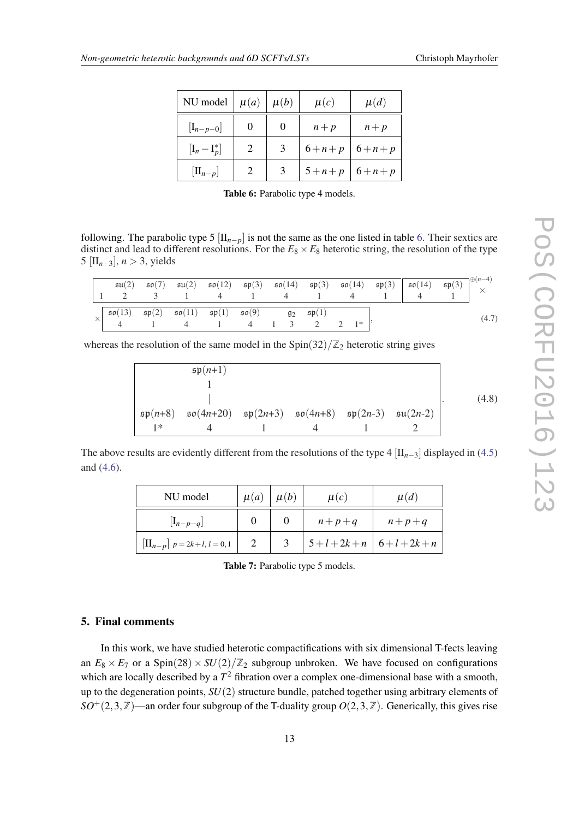<span id="page-13-0"></span>

| NU model        | $\mu(a)$ | $\mu(b)$ | $\mu(c)$      | $\mu(d)$    |
|-----------------|----------|----------|---------------|-------------|
| $[I_{n-p-0}]$   |          | $\theta$ | $n+p$         | $n+p$       |
| $[I_n - I_p^*]$ | 2        | 3        | $6 + n + p$   | $6 + n + p$ |
| $[\Pi_{n-p}]$   |          | 3        | $5+n+p$ 6+n+p |             |

Table 6: Parabolic type 4 models.

following. The parabolic type 5  $[\text{II}_{n-p}]$  is not the same as the one listed in table 6. Their sextics are distinct and lead to different resolutions. For the  $E_8 \times E_8$  heterotic string, the resolution of the type 5 [II*n*−3], *n* > 3, yields

|                                                                                                                                                                                                                                                                                                                                                                                                                                     |  |  |  | $\begin{array}{c cccccc} \mathfrak{su}(2) & \mathfrak{so}(7) & \mathfrak{su}(2) & \mathfrak{so}(12) & \mathfrak{sp}(3) & \mathfrak{so}(14) & \mathfrak{sp}(3) & \mathfrak{so}(14) & \mathfrak{sp}(3) & \mathfrak{so}(14) & \mathfrak{sp}(3) & \mathfrak{so}(14) & \mathfrak{so}(14) & \mathfrak{so}(14) & \mathfrak{so}(14) & \mathfrak{so}(14) & \times \end{array}$ |  |  |
|-------------------------------------------------------------------------------------------------------------------------------------------------------------------------------------------------------------------------------------------------------------------------------------------------------------------------------------------------------------------------------------------------------------------------------------|--|--|--|-----------------------------------------------------------------------------------------------------------------------------------------------------------------------------------------------------------------------------------------------------------------------------------------------------------------------------------------------------------------------|--|--|
| $\times \begin{array}{ l ccccccccccc }\hline \rule{0pt}{2.2ex}\hline \rule{0pt}{2.2ex}\hline \rule{0pt}{2.2ex}\hline \rule{0pt}{2.2ex}\hline \rule{0pt}{2.2ex}\hline \rule{0pt}{2.2ex}\hline \rule{0pt}{2.2ex}\hline \rule{0pt}{2.2ex}\hline \rule{0pt}{2.2ex}\hline \rule{0pt}{2.2ex}\hline \rule{0pt}{2.2ex}\hline \rule{0pt}{2.2ex}\hline \rule{0pt}{2.2ex}\hline \rule{0pt}{2.2ex}\hline \rule{0pt}{2.2ex}\hline \rule{0pt}{2.$ |  |  |  |                                                                                                                                                                                                                                                                                                                                                                       |  |  |

whereas the resolution of the same model in the  $\text{Spin}(32)/\mathbb{Z}_2$  heterotic string gives

$$
\mathfrak{sp}(n+1) \\
1 \\
\downarrow \\
\mathfrak{sp}(n+8) \\
\mathfrak{so}(4n+20) \\
\mathfrak{sp}(2n+3) \\
\mathfrak{so}(4n+8) \\
\mathfrak{sp}(2n-3) \\
\mathfrak{su}(2n-2) \\
1^* \\
\downarrow \\
\mathfrak{so}(4n+8) \\
\downarrow \\
\mathfrak{so}(4n+8) \\
\downarrow \\
\mathfrak{so}(2n-3) \\
\downarrow \\
\mathfrak{su}(2n-2) \\
\downarrow \\
\mathfrak{su}(2n-2) \\
\downarrow \\
\mathfrak{su}(2n-1) \\
\downarrow \\
\mathfrak{su}(2n-2) \\
\downarrow \\
\mathfrak{su}(2n-1) \\
\downarrow \\
\mathfrak{su}(2n-2) \\
\downarrow \\
\mathfrak{su}(2n-1) \\
\downarrow \\
\mathfrak{su}(2n-2) \\
\downarrow \\
\mathfrak{su}(2n-1) \\
\downarrow \\
\mathfrak{su}(2n-2) \\
\downarrow \\
\mathfrak{su}(2n-1) \\
\downarrow \\
\mathfrak{su}(2n-2) \\
\downarrow \\
\mathfrak{su}(2n-1) \\
\downarrow \\
\mathfrak{su}(2n-2) \\
\downarrow \\
\mathfrak{su}(2n-1) \\
\downarrow \\
\mathfrak{su}(2n-2) \\
\downarrow \\
\mathfrak{su}(2n-1) \\
\downarrow \\
\mathfrak{su}(2n-2) \\
\downarrow \\
\mathfrak{su}(2n-1) \\
\downarrow \\
\mathfrak{su}(2n-2) \\
\downarrow \\
\mathfrak{su}(2n-1) \\
\downarrow \\
\mathfrak{su}(2n-2) \\
\downarrow \\
\mathfrak{su}(2n-1) \\
\downarrow \\
\mathfrak{su}(2n-2) \\
\downarrow \\
\mathfrak{su}(2n-1) \\
\downarrow \\
\mathfrak{su}(2n-2) \\
\downarrow \\
\mathfrak{su}(2n-1) \\
\downarrow \\
\mathfrak{su}(2n-2) \\
\downarrow \\
\mathfrak{su}(2n-1) \\
\downarrow \\
\mathfrak{su}(2n-1) \\
\downarrow \\
\mathfrak{su}(2n-1) \\
\downarrow \\
\mathfrak{su}(2n-2) \\
\downarrow \\
\mathfrak{su}(2n-1) \\
\downarrow \\
\mathfrak{su}(2n-1) \\
\downarrow \\
\mathfrak{su}(2n-1) \\
\downarrow \\
\mathfrak{su}(2n-
$$

The above results are evidently different from the resolutions of the type  $4 \left[\text{II}_{n-3}\right]$  displayed in ([4.5](#page-12-0)) and [\(4.6](#page-12-0)).

| NU model                                     | $\mu(a)$ | $\mu(b)$ | $\mu(c)$            | $\mu(d)$ |  |
|----------------------------------------------|----------|----------|---------------------|----------|--|
| $[I_{n-p-q}]$                                |          |          | $n+p+q$             | $n+p+q$  |  |
| $\left[\prod_{n-p}\right] p = 2k+l, l = 0,1$ |          |          | $5+l+2k+n$ 6+l+2k+n |          |  |

Table 7: Parabolic type 5 models.

#### 5. Final comments

In this work, we have studied heterotic compactifications with six dimensional T-fects leaving an  $E_8 \times E_7$  or a Spin(28)  $\times SU(2)/\mathbb{Z}_2$  subgroup unbroken. We have focused on configurations which are locally described by a  $T^2$  fibration over a complex one-dimensional base with a smooth, up to the degeneration points, *SU*(2) structure bundle, patched together using arbitrary elements of  $SO^+(2,3,\mathbb{Z})$ —an order four subgroup of the T-duality group  $O(2,3,\mathbb{Z})$ . Generically, this gives rise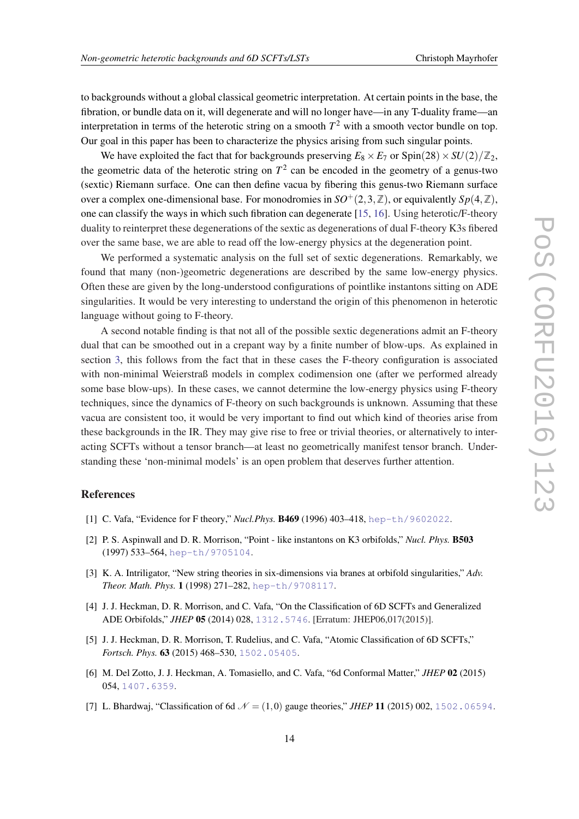<span id="page-14-0"></span>to backgrounds without a global classical geometric interpretation. At certain points in the base, the fibration, or bundle data on it, will degenerate and will no longer have—in any T-duality frame—an interpretation in terms of the heterotic string on a smooth  $T^2$  with a smooth vector bundle on top. Our goal in this paper has been to characterize the physics arising from such singular points.

We have exploited the fact that for backgrounds preserving  $E_8 \times E_7$  or  $\text{Spin}(28) \times SU(2)/\mathbb{Z}_2$ , the geometric data of the heterotic string on  $T^2$  can be encoded in the geometry of a genus-two (sextic) Riemann surface. One can then define vacua by fibering this genus-two Riemann surface over a complex one-dimensional base. For monodromies in  $SO^+(2,3,\mathbb{Z})$ , or equivalently  $Sp(4,\mathbb{Z})$ , one can classify the ways in which such fibration can degenerate [\[15,](#page-15-0) [16](#page-15-0)]. Using heterotic/F-theory duality to reinterpret these degenerations of the sextic as degenerations of dual F-theory K3s fibered over the same base, we are able to read off the low-energy physics at the degeneration point.

We performed a systematic analysis on the full set of sextic degenerations. Remarkably, we found that many (non-)geometric degenerations are described by the same low-energy physics. Often these are given by the long-understood configurations of pointlike instantons sitting on ADE singularities. It would be very interesting to understand the origin of this phenomenon in heterotic language without going to F-theory.

A second notable finding is that not all of the possible sextic degenerations admit an F-theory dual that can be smoothed out in a crepant way by a finite number of blow-ups. As explained in section [3,](#page-5-0) this follows from the fact that in these cases the F-theory configuration is associated with non-minimal Weierstraß models in complex codimension one (after we performed already some base blow-ups). In these cases, we cannot determine the low-energy physics using F-theory techniques, since the dynamics of F-theory on such backgrounds is unknown. Assuming that these vacua are consistent too, it would be very important to find out which kind of theories arise from these backgrounds in the IR. They may give rise to free or trivial theories, or alternatively to interacting SCFTs without a tensor branch—at least no geometrically manifest tensor branch. Understanding these 'non-minimal models' is an open problem that deserves further attention.

#### References

- [1] C. Vafa, "Evidence for F theory," *Nucl.Phys.* B469 (1996) 403–418, [hep-th/9602022](http://xxx.lanl.gov/abs/hep-th/9602022).
- [2] P. S. Aspinwall and D. R. Morrison, "Point like instantons on K3 orbifolds," *Nucl. Phys.* B503 (1997) 533–564, [hep-th/9705104](http://xxx.lanl.gov/abs/hep-th/9705104).
- [3] K. A. Intriligator, "New string theories in six-dimensions via branes at orbifold singularities," *Adv. Theor. Math. Phys.* 1 (1998) 271–282, [hep-th/9708117](http://xxx.lanl.gov/abs/hep-th/9708117).
- [4] J. J. Heckman, D. R. Morrison, and C. Vafa, "On the Classification of 6D SCFTs and Generalized ADE Orbifolds," *JHEP* 05 (2014) 028, [1312.5746](http://xxx.lanl.gov/abs/1312.5746). [Erratum: JHEP06,017(2015)].
- [5] J. J. Heckman, D. R. Morrison, T. Rudelius, and C. Vafa, "Atomic Classification of 6D SCFTs," *Fortsch. Phys.* 63 (2015) 468–530, [1502.05405](http://xxx.lanl.gov/abs/1502.05405).
- [6] M. Del Zotto, J. J. Heckman, A. Tomasiello, and C. Vafa, "6d Conformal Matter," *JHEP* 02 (2015) 054, [1407.6359](http://xxx.lanl.gov/abs/1407.6359).
- [7] L. Bhardwaj, "Classification of 6d  $N = (1,0)$  gauge theories," *JHEP* 11 (2015) 002, [1502.06594](http://xxx.lanl.gov/abs/1502.06594).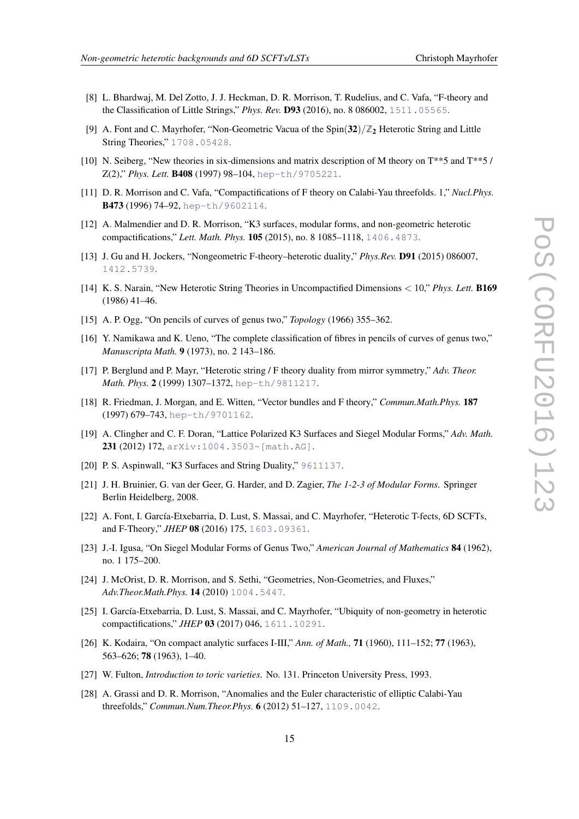- <span id="page-15-0"></span>[8] L. Bhardwaj, M. Del Zotto, J. J. Heckman, D. R. Morrison, T. Rudelius, and C. Vafa, "F-theory and the Classification of Little Strings," *Phys. Rev.* D93 (2016), no. 8 086002, [1511.05565](http://xxx.lanl.gov/abs/1511.05565).
- [9] A. Font and C. Mayrhofer, "Non-Geometric Vacua of the  $Spin(32)/\mathbb{Z}_2$  Heterotic String and Little String Theories," [1708.05428](http://xxx.lanl.gov/abs/1708.05428).
- [10] N. Seiberg, "New theories in six-dimensions and matrix description of M theory on T\*\*5 and T\*\*5 / Z(2)," *Phys. Lett.* B408 (1997) 98–104, [hep-th/9705221](http://xxx.lanl.gov/abs/hep-th/9705221).
- [11] D. R. Morrison and C. Vafa, "Compactifications of F theory on Calabi-Yau threefolds. 1," *Nucl.Phys.* B473 (1996) 74-92, [hep-th/9602114](http://xxx.lanl.gov/abs/hep-th/9602114).
- [12] A. Malmendier and D. R. Morrison, "K3 surfaces, modular forms, and non-geometric heterotic compactifications," *Lett. Math. Phys.* 105 (2015), no. 8 1085–1118, [1406.4873](http://xxx.lanl.gov/abs/1406.4873).
- [13] J. Gu and H. Jockers, "Nongeometric F-theory–heterotic duality," *Phys.Rev.* D91 (2015) 086007, [1412.5739](http://xxx.lanl.gov/abs/1412.5739).
- [14] K. S. Narain, "New Heterotic String Theories in Uncompactified Dimensions < 10," *Phys. Lett.* B169 (1986) 41–46.
- [15] A. P. Ogg, "On pencils of curves of genus two," *Topology* (1966) 355–362.
- [16] Y. Namikawa and K. Ueno, "The complete classification of fibres in pencils of curves of genus two," *Manuscripta Math.* 9 (1973), no. 2 143–186.
- [17] P. Berglund and P. Mayr, "Heterotic string / F theory duality from mirror symmetry," *Adv. Theor. Math. Phys.* 2 (1999) 1307–1372, [hep-th/9811217](http://xxx.lanl.gov/abs/hep-th/9811217).
- [18] R. Friedman, J. Morgan, and E. Witten, "Vector bundles and F theory," *Commun.Math.Phys.* 187 (1997) 679–743, [hep-th/9701162](http://xxx.lanl.gov/abs/hep-th/9701162).
- [19] A. Clingher and C. F. Doran, "Lattice Polarized K3 Surfaces and Siegel Modular Forms," *Adv. Math.* 231 (2012) 172, [arXiv:1004.3503~\[math.AG\]](http://xxx.lanl.gov/abs/arXiv:1004.3503~[math.AG]).
- [20] P. S. Aspinwall, "K3 Surfaces and String Duality," [9611137](http://xxx.lanl.gov/abs/9611137).
- [21] J. H. Bruinier, G. van der Geer, G. Harder, and D. Zagier, *The 1-2-3 of Modular Forms*. Springer Berlin Heidelberg, 2008.
- [22] A. Font, I. García-Etxebarria, D. Lust, S. Massai, and C. Mayrhofer, "Heterotic T-fects, 6D SCFTs, and F-Theory," *JHEP* 08 (2016) 175, [1603.09361](http://xxx.lanl.gov/abs/1603.09361).
- [23] J.-I. Igusa, "On Siegel Modular Forms of Genus Two," *American Journal of Mathematics* 84 (1962), no. 1 175–200.
- [24] J. McOrist, D. R. Morrison, and S. Sethi, "Geometries, Non-Geometries, and Fluxes," *Adv.Theor.Math.Phys.* 14 (2010) [1004.5447](http://xxx.lanl.gov/abs/1004.5447).
- [25] I. García-Etxebarria, D. Lust, S. Massai, and C. Mayrhofer, "Ubiquity of non-geometry in heterotic compactifications," *JHEP* 03 (2017) 046, [1611.10291](http://xxx.lanl.gov/abs/1611.10291).
- [26] K. Kodaira, "On compact analytic surfaces I-III," *Ann. of Math.,* 71 (1960), 111–152; 77 (1963), 563–626; 78 (1963), 1–40.
- [27] W. Fulton, *Introduction to toric varieties*. No. 131. Princeton University Press, 1993.
- [28] A. Grassi and D. R. Morrison, "Anomalies and the Euler characteristic of elliptic Calabi-Yau threefolds," *Commun.Num.Theor.Phys.* 6 (2012) 51–127, [1109.0042](http://xxx.lanl.gov/abs/1109.0042).